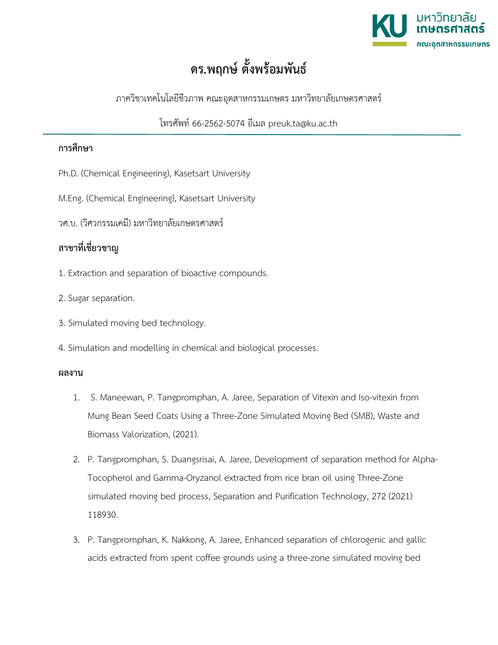

## **ดร.พฤกษ ตั้งพรอมพันธ**

ภาควิชาเทคโนโลยีชีวภาพ คณะอุตสาหกรรมเกษตร มหาวิทยาลัยเกษตรศาสตร

โทรศัพท 66-2562-5074 อีเมล preuk.ta@ku.ac.th

## **การศึกษา**

- Ph.D. (Chemical Engineering), Kasetsart University
- M.Eng. (Chemical Engineering), Kasetsart University
- วศ.บ. (วิศวกรรมเคมี) มหาวิทยาลัยเกษตรศาสตร

## **สาขาที่เชี่ยวชาญ**

- 1. Extraction and separation of bioactive compounds.
- 2. Sugar separation.
- 3. Simulated moving bed technology.
- 4. Simulation and modelling in chemical and biological processes.

## **ผลงาน**

- 1. S. Maneewan, P. Tangpromphan, A. Jaree, Separation of Vitexin and Iso-vitexin from Mung Bean Seed Coats Using a Three-Zone Simulated Moving Bed (SMB), Waste and Biomass Valorization, (2021).
- 2. P. Tangpromphan, S. Duangsrisai, A. Jaree, Development of separation method for Alpha-Tocopherol and Gamma-Oryzanol extracted from rice bran oil using Three-Zone simulated moving bed process, Separation and Purification Technology, 272 (2021) 118930.
- 3. P. Tangpromphan, K. Nakkong, A. Jaree, Enhanced separation of chlorogenic and gallic acids extracted from spent coffee grounds using a three-zone simulated moving bed